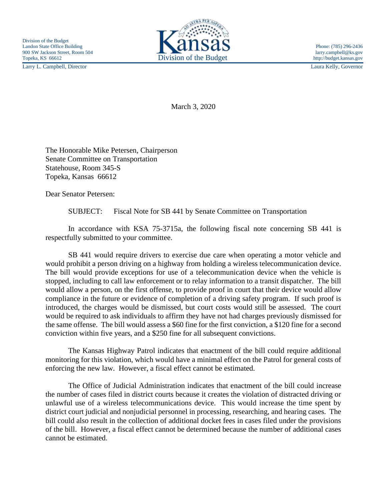Larry L. Campbell, Director Laura Kelly, Governor



March 3, 2020

The Honorable Mike Petersen, Chairperson Senate Committee on Transportation Statehouse, Room 345-S Topeka, Kansas 66612

Dear Senator Petersen:

SUBJECT: Fiscal Note for SB 441 by Senate Committee on Transportation

In accordance with KSA 75-3715a, the following fiscal note concerning SB 441 is respectfully submitted to your committee.

SB 441 would require drivers to exercise due care when operating a motor vehicle and would prohibit a person driving on a highway from holding a wireless telecommunication device. The bill would provide exceptions for use of a telecommunication device when the vehicle is stopped, including to call law enforcement or to relay information to a transit dispatcher. The bill would allow a person, on the first offense, to provide proof in court that their device would allow compliance in the future or evidence of completion of a driving safety program. If such proof is introduced, the charges would be dismissed, but court costs would still be assessed. The court would be required to ask individuals to affirm they have not had charges previously dismissed for the same offense. The bill would assess a \$60 fine for the first conviction, a \$120 fine for a second conviction within five years, and a \$250 fine for all subsequent convictions.

The Kansas Highway Patrol indicates that enactment of the bill could require additional monitoring for this violation, which would have a minimal effect on the Patrol for general costs of enforcing the new law. However, a fiscal effect cannot be estimated.

The Office of Judicial Administration indicates that enactment of the bill could increase the number of cases filed in district courts because it creates the violation of distracted driving or unlawful use of a wireless telecommunications device. This would increase the time spent by district court judicial and nonjudicial personnel in processing, researching, and hearing cases. The bill could also result in the collection of additional docket fees in cases filed under the provisions of the bill. However, a fiscal effect cannot be determined because the number of additional cases cannot be estimated.